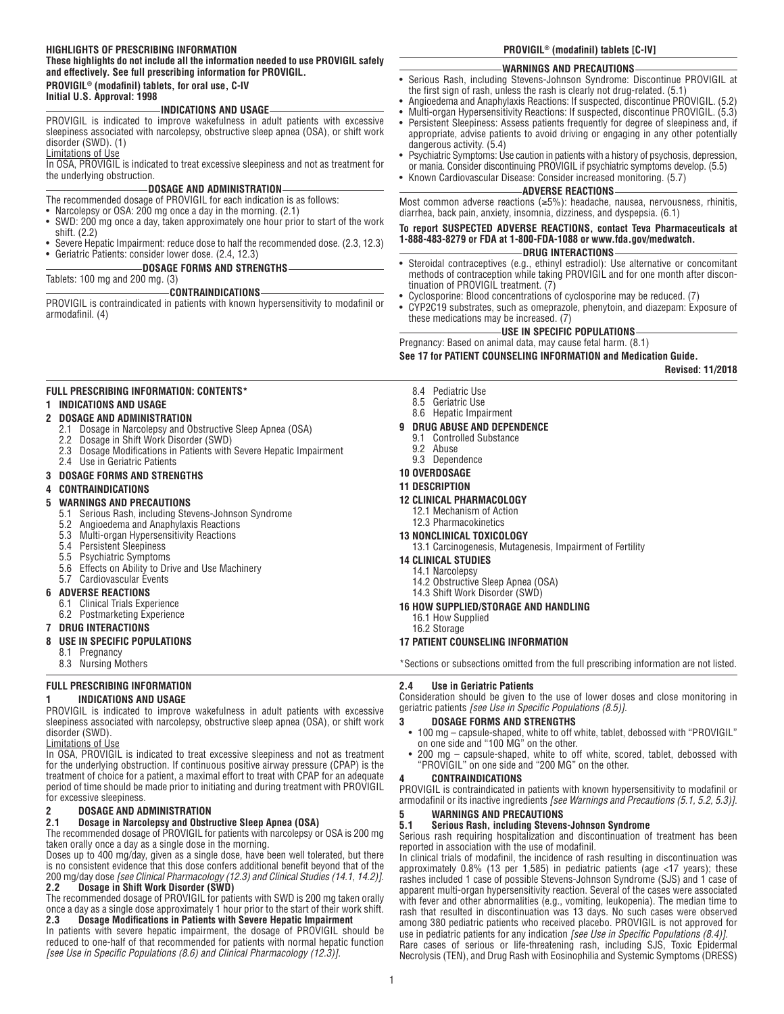#### **HIGHLIGHTS OF PRESCRIBING INFORMATION**

#### **These highlights do not include all the information needed to use PROVIGIL safely and effectively. See full prescribing information for PROVIGIL. PROVIGIL® (modafinil) tablets, for oral use, C-IV**

**Initial U.S. Approval: 1998**

#### **INDICATIONS AND USAGE**

PROVIGIL is indicated to improve wakefulness in adult patients with excessive sleepiness associated with narcolepsy, obstructive sleep apnea (OSA), or shift work disorder (SWD). (1)

Limitations of Use

In OSA, PROVIGIL is indicated to treat excessive sleepiness and not as treatment for the underlying obstruction.

#### **DOSAGE AND ADMINISTRATION**

- The recommended dosage of PROVIGIL for each indication is as follows:
- Narcolepsy or OSA: 200 mg once a day in the morning. (2.1)
- SWD: 200 mg once a day, taken approximately one hour prior to start of the work shift. (2.2)
- Severe Hepatic Impairment: reduce dose to half the recommended dose. (2.3, 12.3) • Geriatric Patients: consider lower dose. (2.4, 12.3)
	- **DOSAGE FORMS AND STRENGTHS**

Tablets: 100 mg and 200 mg. (3)

#### **CONTRAINDICATIONS**

PROVIGIL is contraindicated in patients with known hypersensitivity to modafinil or armodafinil. (4)

#### **FULL PRESCRIBING INFORMATION: CONTENTS\***

#### **1 INDICATIONS AND USAGE**

#### **2 DOSAGE AND ADMINISTRATION**

- 2.1 Dosage in Narcolepsy and Obstructive Sleep Apnea (OSA)
- 2.2 Dosage in Shift Work Disorder (SWD)
- 2.3 Dosage Modifications in Patients with Severe Hepatic Impairment
- 2.4 Use in Geriatric Patients

#### **3 DOSAGE FORMS AND STRENGTHS**

**4 CONTRAINDICATIONS**

- **5 WARNINGS AND PRECAUTIONS** Serious Rash, including Stevens-Johnson Syndrome
	- 5.2 Angioedema and Anaphylaxis Reactions
	- 5.3 Multi-organ Hypersensitivity Reactions
	- Persistent Sleepiness
	- 5.5 Psychiatric Symptoms
	- 5.6 Effects on Ability to Drive and Use Machinery
	- 5.7 Cardiovascular Events

### **6 ADVERSE REACTIONS**

- 6.1 Clinical Trials Experience
- 6.2 Postmarketing Experience

#### **7 DRUG INTERACTIONS**

#### **8 USE IN SPECIFIC POPULATIONS**

- 8.1 Pregnancy
- 8.3 Nursing Mothers

#### **FULL PRESCRIBING INFORMATION**

#### **1 INDICATIONS AND USAGE**

PROVIGIL is indicated to improve wakefulness in adult patients with excessive sleepiness associated with narcolepsy, obstructive sleep apnea (OSA), or shift work disorder (SWD).

Limitations of Use

In OSA, PROVIGIL is indicated to treat excessive sleepiness and not as treatment for the underlying obstruction. If continuous positive airway pressure (CPAP) is the treatment of choice for a patient, a maximal effort to treat with CPAP for an adequate period of time should be made prior to initiating and during treatment with PROVIGIL for excessive sleepiness.

# **2 DOSAGE AND ADMINISTRATION**

## **2.1 Dosage in Narcolepsy and Obstructive Sleep Apnea (OSA)**

The recommended dosage of PROVIGIL for patients with narcolepsy or OSA is 200 mg taken orally once a day as a single dose in the morning.

Doses up to 400 mg/day, given as a single dose, have been well tolerated, but there is no consistent evidence that this dose confers additional benefit beyond that of the 200 mg/day dose *[see Clinical Pharmacology (12.3) and Clinical Studies (14.1, 14.2)]*. **2.2 Dosage in Shift Work Disorder (SWD)**

The recommended dosage of PROVIGIL for patients with SWD is 200 mg taken orally once a day as a single dose approximately 1 hour prior to the start of their work shift.<br>
2.3 Dosane Modifications in Patients with Severe Henatic Impairment **2.3 Dosage Modifications in Patients with Severe Hepatic Impairment** 

In patients with severe hepatic impairment, the dosage of PROVIGIL should be reduced to one-half of that recommended for patients with normal hepatic function *[see Use in Specific Populations (8.6) and Clinical Pharmacology (12.3)]*.

#### **PROVIGIL® (modafinil) tablets [C-IV]**

#### **WARNINGS AND PRECAUTIONS**

- Serious Rash, including Stevens-Johnson Syndrome: Discontinue PROVIGIL at the first sign of rash, unless the rash is clearly not drug-related. (5.1)
- Angioedema and Anaphylaxis Reactions: If suspected, discontinue PROVIGIL. (5.2)
- Multi-organ Hypersensitivity Reactions: If suspected, discontinue PROVIGIL. (5.3)
- Persistent Sleepiness: Assess patients frequently for degree of sleepiness and, if appropriate, advise patients to avoid driving or engaging in any other potentially
- dangerous activity. (5.4) • Psychiatric Symptoms: Use caution in patients with a history of psychosis, depression,
- or mania. Consider discontinuing PROVIGIL if psychiatric symptoms develop. (5.5)
- Known Cardiovascular Disease: Consider increased monitoring. (5.7)

## **ADVERSE REACTIONS**

Most common adverse reactions (≥5%): headache, nausea, nervousness, rhinitis, diarrhea, back pain, anxiety, insomnia, dizziness, and dyspepsia. (6.1)

**To report SUSPECTED ADVERSE REACTIONS, contact Teva Pharmaceuticals at 1-888-483-8279 or FDA at 1-800-FDA-1088 or www.fda.gov/medwatch.**

#### **DRUG INTERACTIONS**

- Steroidal contraceptives (e.g., ethinyl estradiol): Use alternative or concomitant methods of contraception while taking PROVIGIL and for one month after discontinuation of PROVIGIL treatment. (7)
	- Cyclosporine: Blood concentrations of cyclosporine may be reduced. (7)
- CYP2C19 substrates, such as omeprazole, phenytoin, and diazepam: Exposure of these medications may be increased. (7)

#### **USE IN SPECIFIC POPULATIONS**

Pregnancy: Based on animal data, may cause fetal harm. (8.1)

**See 17 for PATIENT COUNSELING INFORMATION and Medication Guide.**

#### **Revised: 11/2018**

- 8.4 Pediatric Use
- 8.5 Geriatric Use
- 8.6 Hepatic Impairment

#### **9 DRUG ABUSE AND DEPENDENCE**

- 9.1 Controlled Substance<br>9.2 Abuse
- Abuse

# 9.3 Dependence

# **10 OVERDOSAGE**

# **11 DESCRIPTION**

#### **12 CLINICAL PHARMACOLOGY**

- 12.1 Mechanism of Action
- 12.3 Pharmacokinetics
- **13 NONCLINICAL TOXICOLOGY**

#### 13.1 Carcinogenesis, Mutagenesis, Impairment of Fertility

#### **14 CLINICAL STUDIES**

- 14.1 Narcolepsy
- 14.2 Obstructive Sleep Apnea (OSA)
- 14.3 Shift Work Disorder (SWD)

#### **16 HOW SUPPLIED/STORAGE AND HANDLING**

16.1 How Supplied

1

16.2 Storage

## **17 PATIENT COUNSELING INFORMATION**

\*Sections or subsections omitted from the full prescribing information are not listed.

#### **2.4 Use in Geriatric Patients**

Consideration should be given to the use of lower doses and close monitoring in geriatric patients *[see Use in Specific Populations (8.5)]*.

#### **3 DOSAGE FORMS AND STRENGTHS**

**5 WARNINGS AND PRECAUTIONS** 

reported in association with the use of modafinil.

- 100 mg capsule-shaped, white to off white, tablet, debossed with "PROVIGIL" on one side and "100 MG" on the other.
- 200 mg capsule-shaped, white to off white, scored, tablet, debossed with "PROVIGIL" on one side and "200 MG" on the other. **4 CONTRAINDICATIONS**

PROVIGIL is contraindicated in patients with known hypersensitivity to modafinil or armodafinil or its inactive ingredients *[see Warnings and Precautions (5.1, 5.2, 5.3)]*.

Serious rash requiring hospitalization and discontinuation of treatment has been

In clinical trials of modafinil, the incidence of rash resulting in discontinuation was approximately 0.8% (13 per 1,585) in pediatric patients (age <17 years); these rashes included 1 case of possible Stevens-Johnson Syndrome (SJS) and 1 case of apparent multi-organ hypersensitivity reaction. Several of the cases were associated with fever and other abnormalities (e.g., vomiting, leukopenia). The median time to rash that resulted in discontinuation was 13 days. No such cases were observed among 380 pediatric patients who received placebo. PROVIGIL is not approved for use in pediatric patients for any indication *[see Use in Specific Populations (8.4)]*. Rare cases of serious or life-threatening rash, including SJS, Toxic Epidermal Necrolysis (TEN), and Drug Rash with Eosinophilia and Systemic Symptoms (DRESS)

**5.1 Serious Rash, including Stevens-Johnson Syndrome**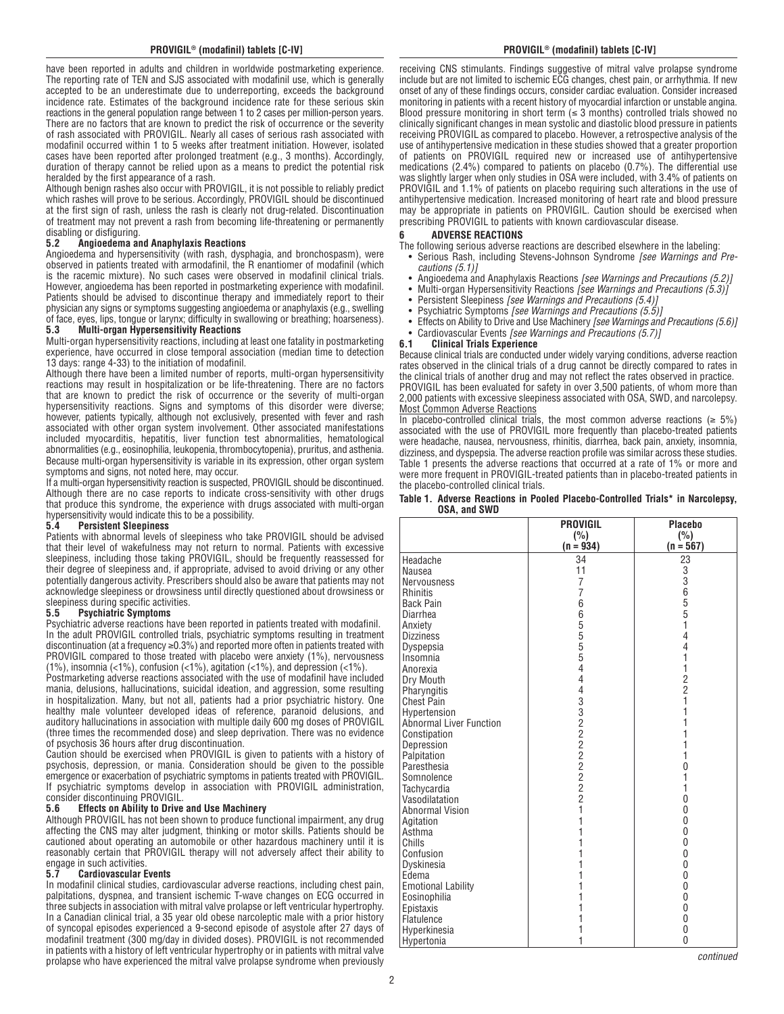have been reported in adults and children in worldwide postmarketing experience. The reporting rate of TEN and SJS associated with modafinil use, which is generally accepted to be an underestimate due to underreporting, exceeds the background incidence rate. Estimates of the background incidence rate for these serious skin reactions in the general population range between 1 to 2 cases per million-person years. There are no factors that are known to predict the risk of occurrence or the severity of rash associated with PROVIGIL. Nearly all cases of serious rash associated with modafinil occurred within 1 to 5 weeks after treatment initiation. However, isolated cases have been reported after prolonged treatment (e.g., 3 months). Accordingly, duration of therapy cannot be relied upon as a means to predict the potential risk heralded by the first appearance of a rash.

Although benign rashes also occur with PROVIGIL, it is not possible to reliably predict which rashes will prove to be serious. Accordingly, PROVIGIL should be discontinued at the first sign of rash, unless the rash is clearly not drug-related. Discontinuation of treatment may not prevent a rash from becoming life-threatening or permanently disabling or disfiguring.

#### **5.2 Angioedema and Anaphylaxis Reactions**

Angioedema and hypersensitivity (with rash, dysphagia, and bronchospasm), were observed in patients treated with armodafinil, the R enantiomer of modafinil (which is the racemic mixture). No such cases were observed in modafinil clinical trials. However, angioedema has been reported in postmarketing experience with modafinil. Patients should be advised to discontinue therapy and immediately report to their physician any signs or symptoms suggesting angioedema or anaphylaxis (e.g., swelling of face, eyes, lips, tongue or larynx; difficulty in swallowing or breathing; hoarseness).<br>5.3 Multi-organ Hypersensitivity Reactions

#### **5.3 Multi-organ Hypersensitivity Reactions**

Multi-organ hypersensitivity reactions, including at least one fatality in postmarketing experience, have occurred in close temporal association (median time to detection 13 days: range 4-33) to the initiation of modafinil.

Although there have been a limited number of reports, multi-organ hypersensitivity reactions may result in hospitalization or be life-threatening. There are no factors that are known to predict the risk of occurrence or the severity of multi-organ hypersensitivity reactions. Signs and symptoms of this disorder were diverse; however, patients typically, although not exclusively, presented with fever and rash associated with other organ system involvement. Other associated manifestations included myocarditis, hepatitis, liver function test abnormalities, hematological abnormalities (e.g., eosinophilia, leukopenia, thrombocytopenia), pruritus, and asthenia. Because multi-organ hypersensitivity is variable in its expression, other organ system symptoms and signs, not noted here, may occur.

If a multi-organ hypersensitivity reaction is suspected, PROVIGIL should be discontinued. Although there are no case reports to indicate cross-sensitivity with other drugs that produce this syndrome, the experience with drugs associated with multi-organ hypersensitivity would indicate this to be a possibility.

#### **5.4 Persistent Sleepiness**

Patients with abnormal levels of sleepiness who take PROVIGIL should be advised that their level of wakefulness may not return to normal. Patients with excessive sleepiness, including those taking PROVIGIL, should be frequently reassessed for their degree of sleepiness and, if appropriate, advised to avoid driving or any other potentially dangerous activity. Prescribers should also be aware that patients may not acknowledge sleepiness or drowsiness until directly questioned about drowsiness or sleepiness during specific activities.<br>5.5 Psychiatric Symptoms

# **5.5 Psychiatric Symptoms**

Psychiatric adverse reactions have been reported in patients treated with modafinil. In the adult PROVIGIL controlled trials, psychiatric symptoms resulting in treatment discontinuation (at a frequency  $\geq$ 0.3%) and reported more often in patients treated with PROVIGIL compared to those treated with placebo were anxiety (1%), nervousness (1%), insomnia (<1%), confusion (<1%), agitation (<1%), and depression (<1%).

Postmarketing adverse reactions associated with the use of modafinil have included mania, delusions, hallucinations, suicidal ideation, and aggression, some resulting in hospitalization. Many, but not all, patients had a prior psychiatric history. One healthy male volunteer developed ideas of reference, paranoid delusions, and auditory hallucinations in association with multiple daily 600 mg doses of PROVIGIL (three times the recommended dose) and sleep deprivation. There was no evidence of psychosis 36 hours after drug discontinuation.

Caution should be exercised when PROVIGIL is given to patients with a history of psychosis, depression, or mania. Consideration should be given to the possible emergence or exacerbation of psychiatric symptoms in patients treated with PROVIGIL. If psychiatric symptoms develop in association with PROVIGIL administration, consider discontinuing PROVIGIL.<br>5.6 Effects on Ability to Drive

#### **5.6 Effects on Ability to Drive and Use Machinery**

Although PROVIGIL has not been shown to produce functional impairment, any drug affecting the CNS may alter judgment, thinking or motor skills. Patients should be cautioned about operating an automobile or other hazardous machinery until it is reasonably certain that PROVIGIL therapy will not adversely affect their ability to engage in such activities.

#### **5.7 Cardiovascular Events**

In modafinil clinical studies, cardiovascular adverse reactions, including chest pain, palpitations, dyspnea, and transient ischemic T-wave changes on ECG occurred in three subjects in association with mitral valve prolapse or left ventricular hypertrophy. In a Canadian clinical trial, a 35 year old obese narcoleptic male with a prior history of syncopal episodes experienced a 9-second episode of asystole after 27 days of modafinil treatment (300 mg/day in divided doses). PROVIGIL is not recommended in patients with a history of left ventricular hypertrophy or in patients with mitral valve prolapse who have experienced the mitral valve prolapse syndrome when previously

receiving CNS stimulants. Findings suggestive of mitral valve prolapse syndrome include but are not limited to ischemic ECG changes, chest pain, or arrhythmia. If new onset of any of these findings occurs, consider cardiac evaluation. Consider increased monitoring in patients with a recent history of myocardial infarction or unstable angina. Blood pressure monitoring in short term  $( \leq 3 \text{ months})$  controlled trials showed no clinically significant changes in mean systolic and diastolic blood pressure in patients receiving PROVIGIL as compared to placebo. However, a retrospective analysis of the use of antihypertensive medication in these studies showed that a greater proportion of patients on PROVIGIL required new or increased use of antihypertensive medications (2.4%) compared to patients on placebo (0.7%). The differential use was slightly larger when only studies in OSA were included, with 3.4% of patients on PROVIGIL and 1.1% of patients on placebo requiring such alterations in the use of antihypertensive medication. Increased monitoring of heart rate and blood pressure may be appropriate in patients on PROVIGIL. Caution should be exercised when prescribing PROVIGIL to patients with known cardiovascular disease.

# **6 ADVERSE REACTIONS**

- The following serious adverse reactions are described elsewhere in the labeling:
- Serious Rash, including Stevens-Johnson Syndrome *[see Warnings and Precautions (5.1)]*
- Angioedema and Anaphylaxis Reactions *[see Warnings and Precautions (5.2)]*
- Multi-organ Hypersensitivity Reactions *[see Warnings and Precautions (5.3)]*
- Persistent Sleepiness *[see Warnings and Precautions (5.4)]*
- Psychiatric Symptoms *[see Warnings and Precautions (5.5)]*
- Effects on Ability to Drive and Use Machinery *[see Warnings and Precautions (5.6)]*
- Cardiovascular Events *[see Warnings and Precautions (5.7)]*

#### **6.1 Clinical Trials Experience**

Because clinical trials are conducted under widely varying conditions, adverse reaction rates observed in the clinical trials of a drug cannot be directly compared to rates in the clinical trials of another drug and may not reflect the rates observed in practice. PROVIGIL has been evaluated for safety in over 3,500 patients, of whom more than 2,000 patients with excessive sleepiness associated with OSA, SWD, and narcolepsy. Most Common Adverse Reactions

In placebo-controlled clinical trials, the most common adverse reactions ( $\geq 5\%$ ) associated with the use of PROVIGIL more frequently than placebo-treated patients were headache, nausea, nervousness, rhinitis, diarrhea, back pain, anxiety, insomnia, dizziness, and dyspepsia. The adverse reaction profile was similar across these studies. Table 1 presents the adverse reactions that occurred at a rate of 1% or more and were more frequent in PROVIGIL-treated patients than in placebo-treated patients in the placebo-controlled clinical trials.

#### **Table 1. Adverse Reactions in Pooled Placebo-Controlled Trials\* in Narcolepsy, OSA, and SWD**

|                           | <b>PROVIGIL</b> | <b>Placebo</b> |
|---------------------------|-----------------|----------------|
|                           | (%)             | (%)            |
|                           | $(n = 934)$     | $(n = 567)$    |
| Headache                  | 34              | 23             |
| Nausea                    | 11              | 3              |
| <b>Nervousness</b>        | 7               | $\overline{3}$ |
| <b>Rhinitis</b>           | 7               | 6              |
| <b>Back Pain</b>          | 6               | 5              |
| Diarrhea                  | 65555           | 5              |
| Anxiety                   |                 | 1              |
| <b>Dizziness</b>          |                 | 4              |
| Dyspepsia                 |                 | 4              |
| Insomnia                  |                 | 1              |
| Anorexia                  | $\overline{4}$  | 1              |
| Dry Mouth                 | 4               | 2              |
| Pharyngitis               | 4               | $\overline{c}$ |
| <b>Chest Pain</b>         | 332222222       | 1              |
| Hypertension              |                 | 1              |
| Abnormal Liver Function   |                 | 1              |
| Constipation              |                 | 1              |
| Depression                |                 | 1              |
| Palpitation               |                 | 1              |
| Paresthesia               |                 | 0              |
| Somnolence                |                 | 1              |
| Tachycardia               |                 | 1              |
| Vasodilatation            |                 | 0              |
| <b>Abnormal Vision</b>    | 1               | $\Omega$       |
| Agitation                 | 1               | $\Omega$       |
| Asthma                    | 1               | 0              |
| Chills                    | 1               | 0              |
| Confusion                 | 1               | 0              |
| Dyskinesia                | 1               | 0              |
| Edema                     |                 | 0              |
| <b>Emotional Lability</b> |                 | 0              |
| Eosinophilia              | 1               | $\Omega$       |
| Epistaxis                 | 1               | 0              |
| Flatulence                | 1               | 0              |
| Hyperkinesia              | 1               | 0              |
| Hypertonia                | 1               | 0              |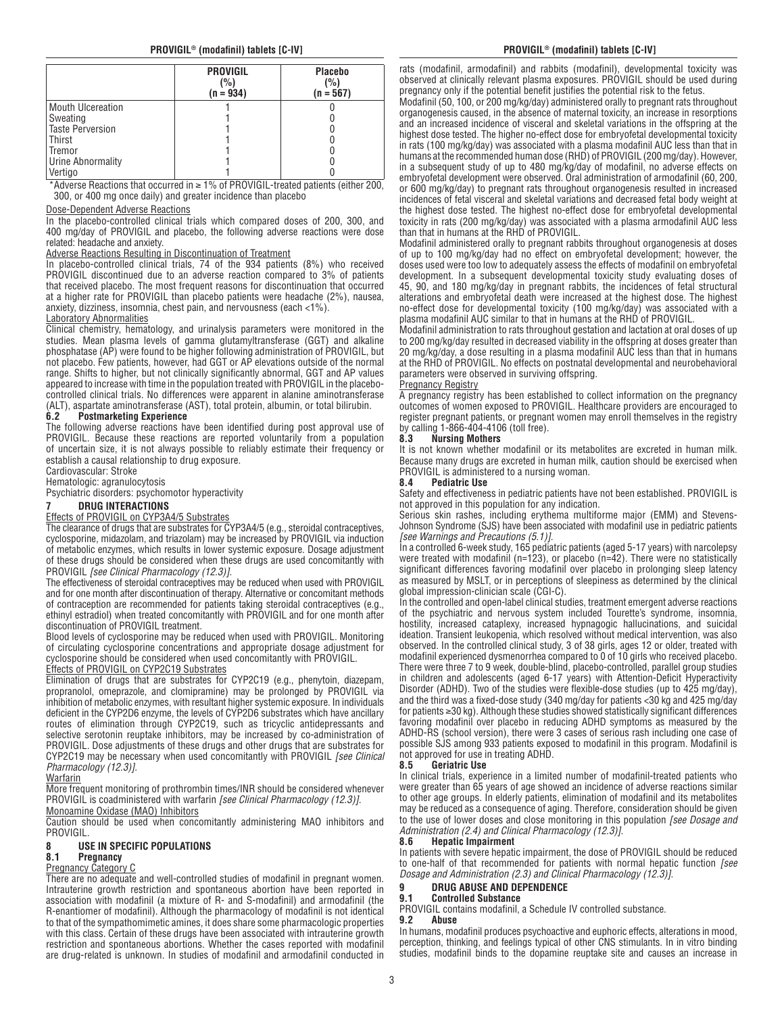|                          | <b>PROVIGIL</b><br>(%)<br>$(n = 934)$ | <b>Placebo</b><br>(%)<br>$(n = 567)$ |
|--------------------------|---------------------------------------|--------------------------------------|
| <b>Mouth Ulcereation</b> |                                       |                                      |
| Sweating                 |                                       |                                      |
| <b>Taste Perversion</b>  |                                       |                                      |
| Thirst                   |                                       |                                      |
| Tremor                   |                                       |                                      |
| Urine Abnormality        |                                       |                                      |
| Vertigo                  |                                       |                                      |

\*Adverse Reactions that occurred in ≥ 1% of PROVIGIL-treated patients (either 200, 300, or 400 mg once daily) and greater incidence than placebo

#### Dose-Dependent Adverse Reactions

In the placebo-controlled clinical trials which compared doses of 200, 300, and 400 mg/day of PROVIGIL and placebo, the following adverse reactions were dose related: headache and anxiety.

#### Adverse Reactions Resulting in Discontinuation of Treatment

In placebo-controlled clinical trials, 74 of the 934 patients (8%) who received PROVIGIL discontinued due to an adverse reaction compared to 3% of patients that received placebo. The most frequent reasons for discontinuation that occurred at a higher rate for PROVIGIL than placebo patients were headache (2%), nausea, anxiety, dizziness, insomnia, chest pain, and nervousness (each <1%).

## **Laboratory Abnormalities**

Clinical chemistry, hematology, and urinalysis parameters were monitored in the studies. Mean plasma levels of gamma glutamyltransferase (GGT) and alkaline phosphatase (AP) were found to be higher following administration of PROVIGIL, but not placebo. Few patients, however, had GGT or AP elevations outside of the normal range. Shifts to higher, but not clinically significantly abnormal, GGT and AP values appeared to increase with time in the population treated with PROVIGIL in the placebocontrolled clinical trials. No differences were apparent in alanine aminotransferase (ALT), aspartate aminotransferase (AST), total protein, albumin, or total bilirubin.

#### **6.2 Postmarketing Experience**

The following adverse reactions have been identified during post approval use of PROVIGIL. Because these reactions are reported voluntarily from a population of uncertain size, it is not always possible to reliably estimate their frequency or establish a causal relationship to drug exposure.

Cardiovascular: Stroke

# Hematologic: agranulocytosis

Psychiatric disorders: psychomotor hyperactivity

# **7 DRUG INTERACTIONS**

#### Effects of PROVIGIL on CYP3A4/5 Substrates

The clearance of drugs that are substrates for CYP3A4/5 (e.g., steroidal contraceptives, cyclosporine, midazolam, and triazolam) may be increased by PROVIGIL via induction of metabolic enzymes, which results in lower systemic exposure. Dosage adjustment of these drugs should be considered when these drugs are used concomitantly with PROVIGIL *[see Clinical Pharmacology (12.3)]*.

The effectiveness of steroidal contraceptives may be reduced when used with PROVIGIL and for one month after discontinuation of therapy. Alternative or concomitant methods of contraception are recommended for patients taking steroidal contraceptives (e.g., ethinyl estradiol) when treated concomitantly with PROVIGIL and for one month after discontinuation of PROVIGIL treatment.

Blood levels of cyclosporine may be reduced when used with PROVIGIL. Monitoring of circulating cyclosporine concentrations and appropriate dosage adjustment for cyclosporine should be considered when used concomitantly with PROVIGIL.

#### Effects of PROVIGIL on CYP2C19 Substrates

Elimination of drugs that are substrates for CYP2C19 (e.g., phenytoin, diazepam, propranolol, omeprazole, and clomipramine) may be prolonged by PROVIGIL via inhibition of metabolic enzymes, with resultant higher systemic exposure. In individuals deficient in the CYP2D6 enzyme, the levels of CYP2D6 substrates which have ancillary routes of elimination through CYP2C19, such as tricyclic antidepressants and selective serotonin reuptake inhibitors, may be increased by co-administration of PROVIGIL. Dose adjustments of these drugs and other drugs that are substrates for CYP2C19 may be necessary when used concomitantly with PROVIGIL *[see Clinical Pharmacology (12.3)]*.

#### Warfarin

More frequent monitoring of prothrombin times/INR should be considered whenever PROVIGIL is coadministered with warfarin *[see Clinical Pharmacology (12.3)]*. Monoamine Oxidase (MAO) Inhibitors

Caution should be used when concomitantly administering MAO inhibitors and **PROVIGIL** 

# **8 USE IN SPECIFIC POPULATIONS**

#### **8.1 Pregnancy**

#### Pregnancy Category C

There are no adequate and well-controlled studies of modafinil in pregnant women. Intrauterine growth restriction and spontaneous abortion have been reported in association with modafinil (a mixture of R- and S-modafinil) and armodafinil (the R-enantiomer of modafinil). Although the pharmacology of modafinil is not identical to that of the sympathomimetic amines, it does share some pharmacologic properties with this class. Certain of these drugs have been associated with intrauterine growth restriction and spontaneous abortions. Whether the cases reported with modafinil are drug-related is unknown. In studies of modafinil and armodafinil conducted in

#### **PROVIGIL® (modafinil) tablets [C-IV] PROVIGIL® (modafinil) tablets [C-IV]**

rats (modafinil, armodafinil) and rabbits (modafinil), developmental toxicity was observed at clinically relevant plasma exposures. PROVIGIL should be used during pregnancy only if the potential benefit justifies the potential risk to the fetus.

Modafinil (50, 100, or 200 mg/kg/day) administered orally to pregnant rats throughout organogenesis caused, in the absence of maternal toxicity, an increase in resorptions and an increased incidence of visceral and skeletal variations in the offspring at the highest dose tested. The higher no-effect dose for embryofetal developmental toxicity in rats (100 mg/kg/day) was associated with a plasma modafinil AUC less than that in humans at the recommended human dose (RHD) of PROVIGIL (200 mg/day). However, in a subsequent study of up to 480 mg/kg/day of modafinil, no adverse effects on embryofetal development were observed. Oral administration of armodafinil (60, 200, or 600 mg/kg/day) to pregnant rats throughout organogenesis resulted in increased incidences of fetal visceral and skeletal variations and decreased fetal body weight at the highest dose tested. The highest no-effect dose for embryofetal developmental toxicity in rats (200 mg/kg/day) was associated with a plasma armodafinil AUC less than that in humans at the RHD of PROVIGIL.

Modafinil administered orally to pregnant rabbits throughout organogenesis at doses of up to 100 mg/kg/day had no effect on embryofetal development; however, the doses used were too low to adequately assess the effects of modafinil on embryofetal development. In a subsequent developmental toxicity study evaluating doses of 45, 90, and 180 mg/kg/day in pregnant rabbits, the incidences of fetal structural alterations and embryofetal death were increased at the highest dose. The highest no-effect dose for developmental toxicity (100 mg/kg/day) was associated with a plasma modafinil AUC similar to that in humans at the RHD of PROVIGIL.

Modafinil administration to rats throughout gestation and lactation at oral doses of up to 200 mg/kg/day resulted in decreased viability in the offspring at doses greater than 20 mg/kg/day, a dose resulting in a plasma modafinil AUC less than that in humans at the RHD of PROVIGIL. No effects on postnatal developmental and neurobehavioral parameters were observed in surviving offspring.

#### Pregnancy Registry

A pregnancy registry has been established to collect information on the pregnancy outcomes of women exposed to PROVIGIL. Healthcare providers are encouraged to register pregnant patients, or pregnant women may enroll themselves in the registry by calling 1-866-404-4106 (toll free).

#### **8.3 Nursing Mothers**

It is not known whether modafinil or its metabolites are excreted in human milk. Because many drugs are excreted in human milk, caution should be exercised when PROVIGIL is administered to a nursing woman.<br>8.4 Pediatric Use

#### **8.4 Pediatric Use**

Safety and effectiveness in pediatric patients have not been established. PROVIGIL is not approved in this population for any indication.

Serious skin rashes, including erythema multiforme major (EMM) and Stevens-Johnson Syndrome (SJS) have been associated with modafinil use in pediatric patients *[see Warnings and Precautions (5.1)]*.

In a controlled 6-week study, 165 pediatric patients (aged 5-17 years) with narcolepsy were treated with modafinil (n=123), or placebo (n=42). There were no statistically significant differences favoring modafinil over placebo in prolonging sleep latency as measured by MSLT, or in perceptions of sleepiness as determined by the clinical global impression-clinician scale (CGI-C).

In the controlled and open-label clinical studies, treatment emergent adverse reactions  $\,$ of the psychiatric and nervous system included Tourette's syndrome, insomnia, hostility, increased cataplexy, increased hypnagogic hallucinations, and suicidal ideation. Transient leukopenia, which resolved without medical intervention, was also observed. In the controlled clinical study, 3 of 38 girls, ages 12 or older, treated with modafinil experienced dysmenorrhea compared to 0 of 10 girls who received placebo. There were three 7 to 9 week, double-blind, placebo-controlled, parallel group studies in children and adolescents (aged 6-17 years) with Attention-Deficit Hyperactivity Disorder (ADHD). Two of the studies were flexible-dose studies (up to 425 mg/day), and the third was a fixed-dose study (340 mg/day for patients <30 kg and 425 mg/day for patients ≥30 kg). Although these studies showed statistically significant differences favoring modafinil over placebo in reducing ADHD symptoms as measured by the ADHD-RS (school version), there were 3 cases of serious rash including one case of possible SJS among 933 patients exposed to modafinil in this program. Modafinil is not approved for use in treating ADHD.<br>8.5 **Geriatric Use** 

#### **8.5 Geriatric Use**

In clinical trials, experience in a limited number of modafinil-treated patients who were greater than 65 years of age showed an incidence of adverse reactions similar to other age groups. In elderly patients, elimination of modafinil and its metabolites may be reduced as a consequence of aging. Therefore, consideration should be given to the use of lower doses and close monitoring in this population *[see Dosage and Administration (2.4) and Clinical Pharmacology (12.3)]*.

#### **8.6 Hepatic Impairment**

In patients with severe hepatic impairment, the dose of PROVIGIL should be reduced to one-half of that recommended for patients with normal hepatic function *[see Dosage and Administration (2.3) and Clinical Pharmacology (12.3)]*.

# **9 DRUG ABUSE AND DEPENDENCE**

# **9.1 Controlled Substance**

PROVIGIL contains modafinil, a Schedule IV controlled substance.<br>9.2 **Abuse** 

#### **9.2 Abuse**

In humans, modafinil produces psychoactive and euphoric effects, alterations in mood, perception, thinking, and feelings typical of other CNS stimulants. In in vitro binding studies, modafinil binds to the dopamine reuptake site and causes an increase in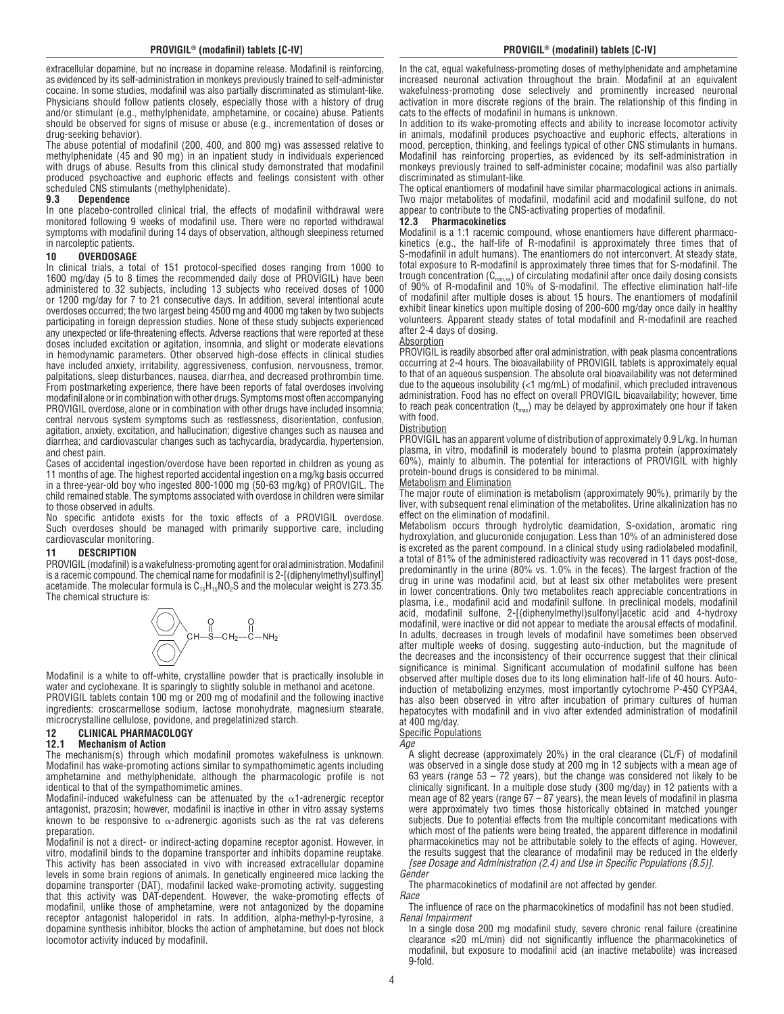extracellular dopamine, but no increase in dopamine release. Modafinil is reinforcing, as evidenced by its self-administration in monkeys previously trained to self-administer cocaine. In some studies, modafinil was also partially discriminated as stimulant-like. Physicians should follow patients closely, especially those with a history of drug and/or stimulant (e.g., methylphenidate, amphetamine, or cocaine) abuse. Patients should be observed for signs of misuse or abuse (e.g., incrementation of doses or drug-seeking behavior).

The abuse potential of modafinil (200, 400, and 800 mg) was assessed relative to methylphenidate (45 and 90 mg) in an inpatient study in individuals experienced with drugs of abuse. Results from this clinical study demonstrated that modafinil produced psychoactive and euphoric effects and feelings consistent with other scheduled CNS stimulants (methylphenidate).<br>**9.3** Dependence

#### **9.3 Dependence**

In one placebo-controlled clinical trial, the effects of modafinil withdrawal were monitored following 9 weeks of modafinil use. There were no reported withdrawal symptoms with modafinil during 14 days of observation, although sleepiness returned in narcoleptic patients.

#### **10 OVERDOSAGE**

In clinical trials, a total of 151 protocol-specified doses ranging from 1000 to 1600 mg/day (5 to 8 times the recommended daily dose of PROVIGIL) have been administered to 32 subjects, including 13 subjects who received doses of 1000 or 1200 mg/day for 7 to 21 consecutive days. In addition, several intentional acute overdoses occurred; the two largest being 4500 mg and 4000 mg taken by two subjects participating in foreign depression studies. None of these study subjects experienced any unexpected or life-threatening effects. Adverse reactions that were reported at these doses included excitation or agitation, insomnia, and slight or moderate elevations in hemodynamic parameters. Other observed high-dose effects in clinical studies have included anxiety, irritability, aggressiveness, confusion, nervousness, tremor, palpitations, sleep disturbances, nausea, diarrhea, and decreased prothrombin time. From postmarketing experience, there have been reports of fatal overdoses involving modafinil alone or in combination with other drugs. Symptoms most often accompanying PROVIGIL overdose, alone or in combination with other drugs have included insomnia; central nervous system symptoms such as restlessness, disorientation, confusion, agitation, anxiety, excitation, and hallucination; digestive changes such as nausea and diarrhea; and cardiovascular changes such as tachycardia, bradycardia, hypertension, and chest pain.

Cases of accidental ingestion/overdose have been reported in children as young as 11 months of age. The highest reported accidental ingestion on a mg/kg basis occurred in a three-year-old boy who ingested 800-1000 mg (50-63 mg/kg) of PROVIGIL. The child remained stable. The symptoms associated with overdose in children were similar to those observed in adults.

No specific antidote exists for the toxic effects of a PROVIGIL overdose. Such overdoses should be managed with primarily supportive care, including cardiovascular monitoring.

# **11 DESCRIPTION**

PROVIGIL (modafinil) is a wakefulness-promoting agent for oral administration. Modafinil is a racemic compound. The chemical name for modafinil is 2-[(diphenylmethyl)sulfinyl] acetamide. The molecular formula is  $C_{15}H_{15}NO_2S$  and the molecular weight is 273.35. The chemical structure is:



Modafinil is a white to off-white, crystalline powder that is practically insoluble in water and cyclohexane. It is sparingly to slightly soluble in methanol and acetone. PROVIGIL tablets contain 100 mg or 200 mg of modafinil and the following inactive ingredients: croscarmellose sodium, lactose monohydrate, magnesium stearate,

microcrystalline cellulose, povidone, and pregelatinized starch.

#### **12 CLINICAL PHARMACOLOGY 12.1 Mechanism of Action**

The mechanism(s) through which modafinil promotes wakefulness is unknown. Modafinil has wake-promoting actions similar to sympathomimetic agents including amphetamine and methylphenidate, although the pharmacologic profile is not identical to that of the sympathomimetic amines.

Modafinil-induced wakefulness can be attenuated by the  $\alpha$ 1-adrenergic receptor antagonist, prazosin; however, modafinil is inactive in other in vitro assay systems known to be responsive to  $\alpha$ -adrenergic agonists such as the rat vas deferens preparation.

Modafinil is not a direct- or indirect-acting dopamine receptor agonist. However, in vitro, modafinil binds to the dopamine transporter and inhibits dopamine reuptake. This activity has been associated in vivo with increased extracellular dopamine levels in some brain regions of animals. In genetically engineered mice lacking the dopamine transporter (DAT), modafinil lacked wake-promoting activity, suggesting that this activity was DAT-dependent. However, the wake-promoting effects of modafinil, unlike those of amphetamine, were not antagonized by the dopamine receptor antagonist haloperidol in rats. In addition, alpha-methyl-p-tyrosine, a dopamine synthesis inhibitor, blocks the action of amphetamine, but does not block locomotor activity induced by modafinil.

In the cat, equal wakefulness-promoting doses of methylphenidate and amphetamine increased neuronal activation throughout the brain. Modafinil at an equivalent wakefulness-promoting dose selectively and prominently increased neuronal activation in more discrete regions of the brain. The relationship of this finding in cats to the effects of modafinil in humans is unknown.

In addition to its wake-promoting effects and ability to increase locomotor activity in animals, modafinil produces psychoactive and euphoric effects, alterations in mood, perception, thinking, and feelings typical of other CNS stimulants in humans. Modafinil has reinforcing properties, as evidenced by its self-administration in monkeys previously trained to self-administer cocaine; modafinil was also partially discriminated as stimulant-like.

The optical enantiomers of modafinil have similar pharmacological actions in animals. Two major metabolites of modafinil, modafinil acid and modafinil sulfone, do not appear to contribute to the CNS-activating properties of modafinil.

#### **12.3 Pharmacokinetics**

Modafinil is a 1:1 racemic compound, whose enantiomers have different pharmacokinetics (e.g., the half-life of R-modafinil is approximately three times that of S-modafinil in adult humans). The enantiomers do not interconvert. At steady state, total exposure to R-modafinil is approximately three times that for S-modafinil. The trough concentration  $(C_{min,ss})$  of circulating modafinil after once daily dosing consists of 90% of R-modafinil and 10% of S-modafinil. The effective elimination half-life of modafinil after multiple doses is about 15 hours. The enantiomers of modafinil exhibit linear kinetics upon multiple dosing of 200-600 mg/day once daily in healthy volunteers. Apparent steady states of total modafinil and R-modafinil are reached after 2-4 days of dosing.

#### Absorption

PROVIGIL is readily absorbed after oral administration, with peak plasma concentrations occurring at 2-4 hours. The bioavailability of PROVIGIL tablets is approximately equal to that of an aqueous suspension. The absolute oral bioavailability was not determined due to the aqueous insolubility (<1 mg/mL) of modafinil, which precluded intravenous administration. Food has no effect on overall PROVIGIL bioavailability; however, time to reach peak concentration  $(t_{max})$  may be delayed by approximately one hour if taken with food.

#### Distribution

PROVIGIL has an apparent volume of distribution of approximately 0.9 L/kg. In human plasma, in vitro, modafinil is moderately bound to plasma protein (approximately 60%), mainly to albumin. The potential for interactions of PROVIGIL with highly protein-bound drugs is considered to be minimal.

#### Metabolism and Elimination

The major route of elimination is metabolism (approximately 90%), primarily by the liver, with subsequent renal elimination of the metabolites. Urine alkalinization has no effect on the elimination of modafinil.

Metabolism occurs through hydrolytic deamidation, S-oxidation, aromatic ring hydroxylation, and glucuronide conjugation. Less than 10% of an administered dose is excreted as the parent compound. In a clinical study using radiolabeled modafinil, a total of 81% of the administered radioactivity was recovered in 11 days post-dose, predominantly in the urine (80% vs. 1.0% in the feces). The largest fraction of the drug in urine was modafinil acid, but at least six other metabolites were present in lower concentrations. Only two metabolites reach appreciable concentrations in plasma, i.e., modafinil acid and modafinil sulfone. In preclinical models, modafinil acid, modafinil sulfone, 2-[(diphenylmethyl)sulfonyl]acetic acid and 4-hydroxy modafinil, were inactive or did not appear to mediate the arousal effects of modafinil. In adults, decreases in trough levels of modafinil have sometimes been observed after multiple weeks of dosing, suggesting auto-induction, but the magnitude of the decreases and the inconsistency of their occurrence suggest that their clinical significance is minimal. Significant accumulation of modafinil sulfone has been observed after multiple doses due to its long elimination half-life of 40 hours. Autoinduction of metabolizing enzymes, most importantly cytochrome P-450 CYP3A4, has also been observed in vitro after incubation of primary cultures of human hepatocytes with modafinil and in vivo after extended administration of modafinil at 400 mg/day.

#### **Specific Populations**

*Age*

A slight decrease (approximately 20%) in the oral clearance (CL/F) of modafinil was observed in a single dose study at 200 mg in 12 subjects with a mean age of 63 years (range 53 – 72 years), but the change was considered not likely to be clinically significant. In a multiple dose study (300 mg/day) in 12 patients with a mean age of 82 years (range 67 – 87 years), the mean levels of modafinil in plasma were approximately two times those historically obtained in matched younger subjects. Due to potential effects from the multiple concomitant medications with which most of the patients were being treated, the apparent difference in modafinil pharmacokinetics may not be attributable solely to the effects of aging. However, the results suggest that the clearance of modafinil may be reduced in the elderly *[see Dosage and Administration (2.4) and Use in Specific Populations (8.5)]*. *Gender*

The pharmacokinetics of modafinil are not affected by gender.

*Race*

The influence of race on the pharmacokinetics of modafinil has not been studied. *Renal Impairment*

In a single dose 200 mg modafinil study, severe chronic renal failure (creatinine clearance ≤20 mL/min) did not significantly influence the pharmacokinetics of modafinil, but exposure to modafinil acid (an inactive metabolite) was increased 9-fold.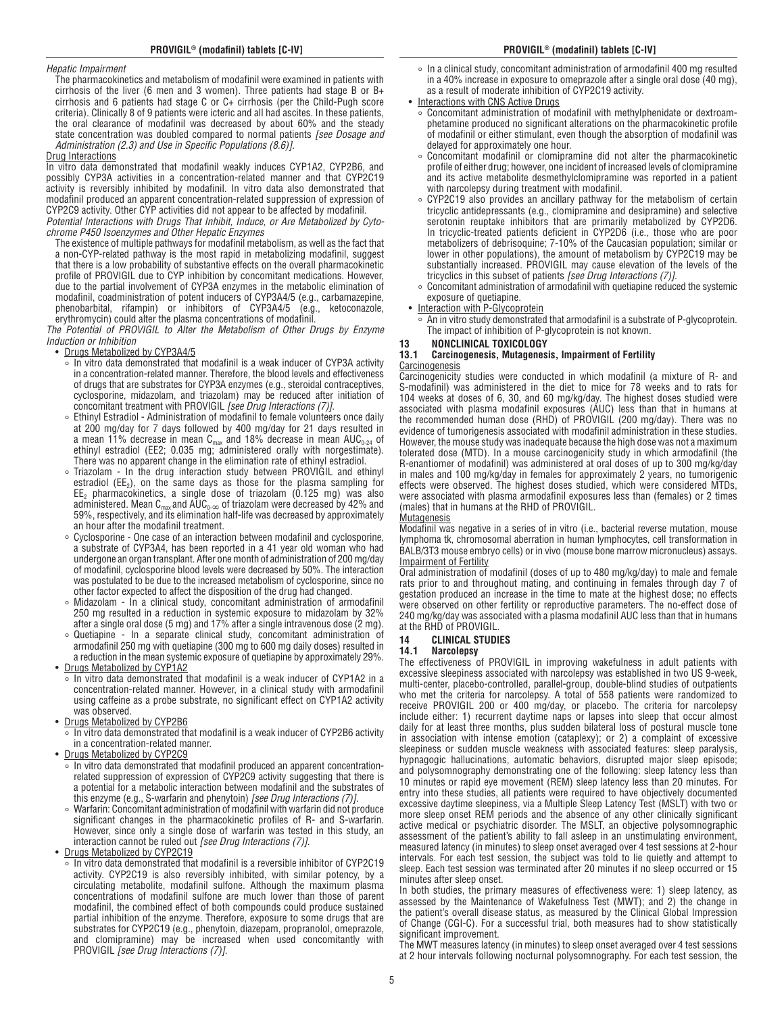#### *Hepatic Impairment*

The pharmacokinetics and metabolism of modafinil were examined in patients with cirrhosis of the liver (6 men and 3 women). Three patients had stage B or B+ cirrhosis and 6 patients had stage C or  $C_{+}$  cirrhosis (per the Child-Pugh score criteria). Clinically 8 of 9 patients were icteric and all had ascites. In these patients, the oral clearance of modafinil was decreased by about 60% and the steady state concentration was doubled compared to normal patients *[see Dosage and Administration (2.3) and Use in Specific Populations (8.6)]*.

#### Drug Interactions

In vitro data demonstrated that modafinil weakly induces CYP1A2, CYP2B6, and possibly CYP3A activities in a concentration-related manner and that CYP2C19 activity is reversibly inhibited by modafinil. In vitro data also demonstrated that modafinil produced an apparent concentration-related suppression of expression of CYP2C9 activity. Other CYP activities did not appear to be affected by modafinil.

*Potential Interactions with Drugs That Inhibit, Induce, or Are Metabolized by Cytochrome P450 Isoenzymes and Other Hepatic Enzymes*

The existence of multiple pathways for modafinil metabolism, as well as the fact that a non-CYP-related pathway is the most rapid in metabolizing modafinil, suggest that there is a low probability of substantive effects on the overall pharmacokinetic profile of PROVIGIL due to CYP inhibition by concomitant medications. However, due to the partial involvement of CYP3A enzymes in the metabolic elimination of modafinil, coadministration of potent inducers of CYP3A4/5 (e.g., carbamazepine,<br>phenobarbital rifampin) or inhibitors of CYP3A4/5 (e.g., ketoconazole, phenobarbital, rifampin) or inhibitors of CYP3A4/5 (e.g., ketoconazole, erythromycin) could alter the plasma concentrations of modafinil.

*The Potential of PROVIGIL to Alter the Metabolism of Other Drugs by Enzyme Induction or Inhibition*

- Drugs Metabolized by CYP3A4/5
	- In vitro data demonstrated that modafinil is a weak inducer of CYP3A activity in a concentration-related manner. Therefore, the blood levels and effectiveness of drugs that are substrates for CYP3A enzymes (e.g., steroidal contraceptives, cyclosporine, midazolam, and triazolam) may be reduced after initiation of concomitant treatment with PROVIGIL *[see Drug Interactions (7)]*.
	- Ethinyl Estradiol Administration of modafinil to female volunteers once daily at 200 mg/day for 7 days followed by 400 mg/day for 21 days resulted in a mean 11% decrease in mean  ${\sf C}_{\sf max}$  and 18% decrease in mean AUC $_{\sf 0\text{-}24}$  of ethinyl estradiol (EE2; 0.035 mg; administered orally with norgestimate). There was no apparent change in the elimination rate of ethinyl estradiol.
	- Triazolam In the drug interaction study between PROVIGIL and ethinyl estradiol ( $EE<sub>2</sub>$ ), on the same days as those for the plasma sampling for  $EE<sub>2</sub>$  pharmacokinetics, a single dose of triazolam (0.125 mg) was also administered. Mean  $C_{\text{max}}$  and AU $C_{0-\infty}$  of triazolam were decreased by 42% and 59%, respectively, and its elimination half-life was decreased by approximately an hour after the modafinil treatment.
	- Cyclosporine One case of an interaction between modafinil and cyclosporine, a substrate of CYP3A4, has been reported in a 41 year old woman who had undergone an organ transplant. After one month of administration of 200 mg/day of modafinil, cyclosporine blood levels were decreased by 50%. The interaction was postulated to be due to the increased metabolism of cyclosporine, since no other factor expected to affect the disposition of the drug had changed.
	- Midazolam In a clinical study, concomitant administration of armodafinil 250 mg resulted in a reduction in systemic exposure to midazolam by 32% after a single oral dose (5 mg) and 17% after a single intravenous dose (2 mg).
	- Quetiapine In a separate clinical study, concomitant administration of armodafinil 250 mg with quetiapine (300 mg to 600 mg daily doses) resulted in a reduction in the mean systemic exposure of quetiapine by approximately 29%.
- Drugs Metabolized by CYP1A2
	- In vitro data demonstrated that modafinil is a weak inducer of CYP1A2 in a concentration-related manner. However, in a clinical study with armodafinil using caffeine as a probe substrate, no significant effect on CYP1A2 activity was observed.
- Drugs Metabolized by CYP2B6
	- In vitro data demonstrated that modafinil is a weak inducer of CYP2B6 activity in a concentration-related manner.
- Drugs Metabolized by CYP2C9
	- In vitro data demonstrated that modafinil produced an apparent concentrationrelated suppression of expression of CYP2C9 activity suggesting that there is a potential for a metabolic interaction between modafinil and the substrates of this enzyme (e.g., S-warfarin and phenytoin) *[see Drug Interactions (7)]*.
	- Warfarin: Concomitant administration of modafinil with warfarin did not produce significant changes in the pharmacokinetic profiles of R- and S-warfarin. However, since only a single dose of warfarin was tested in this study, an interaction cannot be ruled out *[see Drug Interactions (7)]*.
- Drugs Metabolized by CYP2C19
	- In vitro data demonstrated that modafinil is a reversible inhibitor of CYP2C19 activity. CYP2C19 is also reversibly inhibited, with similar potency, by a circulating metabolite, modafinil sulfone. Although the maximum plasma concentrations of modafinil sulfone are much lower than those of parent modafinil, the combined effect of both compounds could produce sustained partial inhibition of the enzyme. Therefore, exposure to some drugs that are substrates for CYP2C19 (e.g., phenytoin, diazepam, propranolol, omeprazole, and clomipramine) may be increased when used concomitantly with PROVIGIL *[see Drug Interactions (7)]*.
- In a clinical study, concomitant administration of armodafinil 400 mg resulted in a 40% increase in exposure to omeprazole after a single oral dose (40 mg), as a result of moderate inhibition of CYP2C19 activity.
- Interactions with CNS Active Drugs
	- <u>
	a Concomitant administration</u> of modafinil with methylphenidate or dextroamphetamine produced no significant alterations on the pharmacokinetic profile of modafinil or either stimulant, even though the absorption of modafinil was delayed for approximately one hour.
	- Concomitant modafinil or clomipramine did not alter the pharmacokinetic profile of either drug; however, one incident of increased levels of clomipramine and its active metabolite desmethylclomipramine was reported in a patient with narcolepsy during treatment with modafinil.
	- CYP2C19 also provides an ancillary pathway for the metabolism of certain tricyclic antidepressants (e.g., clomipramine and desipramine) and selective serotonin reuptake inhibitors that are primarily metabolized by CYP2D6. In tricyclic-treated patients deficient in CYP2D6 (i.e., those who are poor metabolizers of debrisoquine; 7-10% of the Caucasian population; similar or lower in other populations), the amount of metabolism by CYP2C19 may be substantially increased. PROVIGIL may cause elevation of the levels of the tricyclics in this subset of patients *[see Drug Interactions (7)]*.
- Concomitant administration of armodafinil with quetiapine reduced the systemic exposure of quetiapine.
- Interaction with P-Glycoprotein
- An in vitro study demonstrated that armodafinil is a substrate of P-glycoprotein. The impact of inhibition of P-glycoprotein is not known.
- 

#### **13 NONCLINICAL TOXICOLOGY 13.1 Carcinogenesis, Mutagenesis, Impairment of Fertility Carcinogenesis**

Carcinogenicity studies were conducted in which modafinil (a mixture of R- and S-modafinil) was administered in the diet to mice for 78 weeks and to rats for 104 weeks at doses of 6, 30, and 60 mg/kg/day. The highest doses studied were associated with plasma modafinil exposures (AUC) less than that in humans at the recommended human dose (RHD) of PROVIGIL (200 mg/day). There was no evidence of tumorigenesis associated with modafinil administration in these studies. However, the mouse study was inadequate because the high dose was not a maximum tolerated dose (MTD). In a mouse carcinogenicity study in which armodafinil (the R-enantiomer of modafinil) was administered at oral doses of up to 300 mg/kg/day in males and 100 mg/kg/day in females for approximately 2 years, no tumorigenic effects were observed. The highest doses studied, which were considered MTDs, were associated with plasma armodafinil exposures less than (females) or 2 times (males) that in humans at the RHD of PROVIGIL.

**Mutagenesis** 

Modafinil was negative in a series of in vitro (i.e., bacterial reverse mutation, mouse lymphoma tk, chromosomal aberration in human lymphocytes, cell transformation in BALB/3T3 mouse embryo cells) or in vivo (mouse bone marrow micronucleus) assays. Impairment of Fertility

Oral administration of modafinil (doses of up to 480 mg/kg/day) to male and female rats prior to and throughout mating, and continuing in females through day 7 of gestation produced an increase in the time to mate at the highest dose; no effects were observed on other fertility or reproductive parameters. The no-effect dose of 240 mg/kg/day was associated with a plasma modafinil AUC less than that in humans at the RHD of PROVIGIL.

#### **14 CLINICAL STUDIES**

#### **14.1 Narcolepsy**

The effectiveness of PROVIGIL in improving wakefulness in adult patients with excessive sleepiness associated with narcolepsy was established in two US 9-week, multi-center, placebo-controlled, parallel-group, double-blind studies of outpatients who met the criteria for narcolepsy. A total of 558 patients were randomized to receive PROVIGIL 200 or 400 mg/day, or placebo. The criteria for narcolepsy include either: 1) recurrent daytime naps or lapses into sleep that occur almost daily for at least three months, plus sudden bilateral loss of postural muscle tone in association with intense emotion (cataplexy); or 2) a complaint of excessive sleepiness or sudden muscle weakness with associated features: sleep paralysis, hypnagogic hallucinations, automatic behaviors, disrupted major sleep episode; and polysomnography demonstrating one of the following: sleep latency less than 10 minutes or rapid eye movement (REM) sleep latency less than 20 minutes. For entry into these studies, all patients were required to have objectively documented excessive daytime sleepiness, via a Multiple Sleep Latency Test (MSLT) with two or more sleep onset REM periods and the absence of any other clinically significant active medical or psychiatric disorder. The MSLT, an objective polysomnographic assessment of the patient's ability to fall asleep in an unstimulating environment, measured latency (in minutes) to sleep onset averaged over 4 test sessions at 2-hour intervals. For each test session, the subject was told to lie quietly and attempt to sleep. Each test session was terminated after 20 minutes if no sleep occurred or 15 minutes after sleep onset.

In both studies, the primary measures of effectiveness were: 1) sleep latency, as assessed by the Maintenance of Wakefulness Test (MWT); and 2) the change in the patient's overall disease status, as measured by the Clinical Global Impression of Change (CGI-C). For a successful trial, both measures had to show statistically significant improvement.

The MWT measures latency (in minutes) to sleep onset averaged over 4 test sessions at 2 hour intervals following nocturnal polysomnography. For each test session, the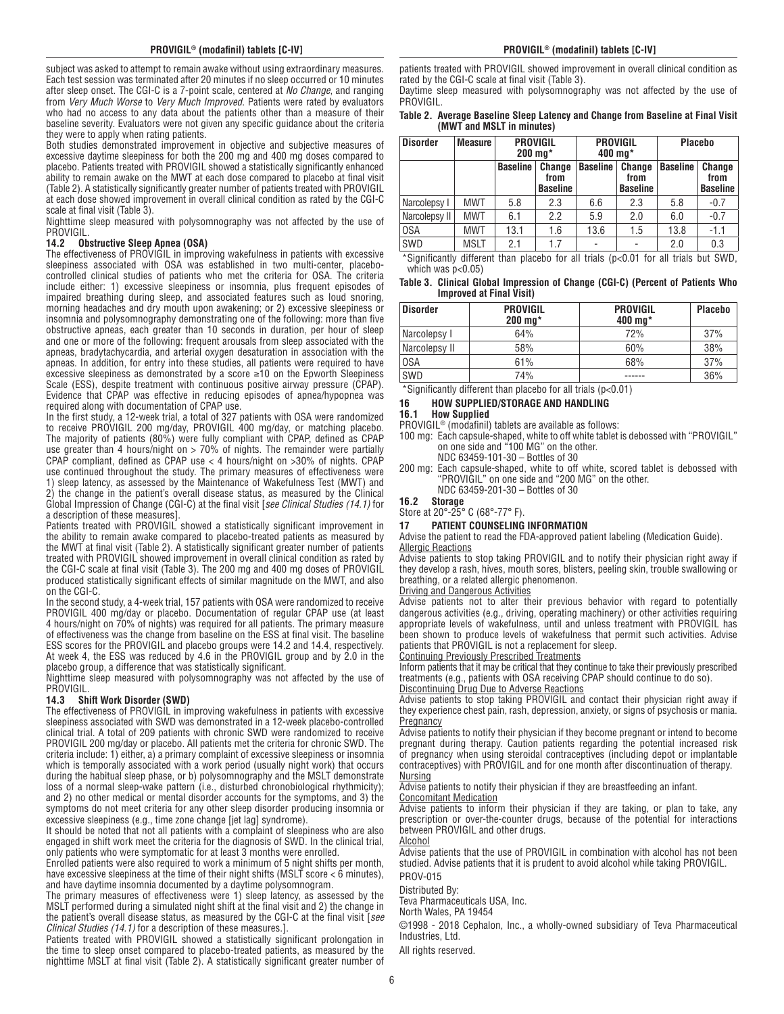subject was asked to attempt to remain awake without using extraordinary measures. Each test session was terminated after 20 minutes if no sleep occurred or 10 minutes after sleep onset. The CGI-C is a 7-point scale, centered at *No Change*, and ranging from *Very Much Worse* to *Very Much Improved*. Patients were rated by evaluators who had no access to any data about the patients other than a measure of their baseline severity. Evaluators were not given any specific guidance about the criteria they were to apply when rating patients.

Both studies demonstrated improvement in objective and subjective measures of excessive daytime sleepiness for both the 200 mg and 400 mg doses compared to placebo. Patients treated with PROVIGIL showed a statistically significantly enhanced ability to remain awake on the MWT at each dose compared to placebo at final visit (Table 2). A statistically significantly greater number of patients treated with PROVIGIL at each dose showed improvement in overall clinical condition as rated by the CGI-C scale at final visit (Table 3).

Nighttime sleep measured with polysomnography was not affected by the use of **PROVIGIL** 

#### **14.2 Obstructive Sleep Apnea (OSA)**

The effectiveness of PROVIGIL in improving wakefulness in patients with excessive sleepiness associated with OSA was established in two multi-center, placebocontrolled clinical studies of patients who met the criteria for OSA. The criteria include either: 1) excessive sleepiness or insomnia, plus frequent episodes of impaired breathing during sleep, and associated features such as loud snoring, morning headaches and dry mouth upon awakening; or 2) excessive sleepiness or insomnia and polysomnography demonstrating one of the following: more than five obstructive apneas, each greater than 10 seconds in duration, per hour of sleep and one or more of the following: frequent arousals from sleep associated with the apneas, bradytachycardia, and arterial oxygen desaturation in association with the apneas. In addition, for entry into these studies, all patients were required to have excessive sleepiness as demonstrated by a score ≥10 on the Epworth Sleepiness Scale (ESS), despite treatment with continuous positive airway pressure (CPAP). Evidence that CPAP was effective in reducing episodes of apnea/hypopnea was required along with documentation of CPAP use.

In the first study, a 12-week trial, a total of 327 patients with OSA were randomized to receive PROVIGIL 200 mg/day, PROVIGIL 400 mg/day, or matching placebo. The majority of patients (80%) were fully compliant with CPAP, defined as CPAP use greater than 4 hours/night on > 70% of nights. The remainder were partially CPAP compliant, defined as CPAP use < 4 hours/night on >30% of nights. CPAP use continued throughout the study. The primary measures of effectiveness were 1) sleep latency, as assessed by the Maintenance of Wakefulness Test (MWT) and 2) the change in the patient's overall disease status, as measured by the Clinical Global Impression of Change (CGI-C) at the final visit [*see Clinical Studies (14.1)* for a description of these measures].

Patients treated with PROVIGIL showed a statistically significant improvement in the ability to remain awake compared to placebo-treated patients as measured by the MWT at final visit (Table 2). A statistically significant greater number of patients treated with PROVIGIL showed improvement in overall clinical condition as rated by the CGI-C scale at final visit (Table 3). The 200 mg and 400 mg doses of PROVIGIL produced statistically significant effects of similar magnitude on the MWT, and also on the CGI-C.

In the second study, a 4-week trial, 157 patients with OSA were randomized to receive PROVIGIL 400 mg/day or placebo. Documentation of regular CPAP use (at least 4 hours/night on 70% of nights) was required for all patients. The primary measure of effectiveness was the change from baseline on the ESS at final visit. The baseline ESS scores for the PROVIGIL and placebo groups were 14.2 and 14.4, respectively. At week 4, the ESS was reduced by 4.6 in the PROVIGIL group and by 2.0 in the placebo group, a difference that was statistically significant.

Nighttime sleep measured with polysomnography was not affected by the use of **PROVIGIL** 

#### **14.3 Shift Work Disorder (SWD)**

The effectiveness of PROVIGIL in improving wakefulness in patients with excessive sleepiness associated with SWD was demonstrated in a 12-week placebo-controlled clinical trial. A total of 209 patients with chronic SWD were randomized to receive PROVIGIL 200 mg/day or placebo. All patients met the criteria for chronic SWD. The criteria include: 1) either, a) a primary complaint of excessive sleepiness or insomnia which is temporally associated with a work period (usually night work) that occurs during the habitual sleep phase, or b) polysomnography and the MSLT demonstrate loss of a normal sleep-wake pattern (i.e., disturbed chronobiological rhythmicity); and 2) no other medical or mental disorder accounts for the symptoms, and 3) the symptoms do not meet criteria for any other sleep disorder producing insomnia or excessive sleepiness (e.g., time zone change [jet lag] syndrome).

It should be noted that not all patients with a complaint of sleepiness who are also engaged in shift work meet the criteria for the diagnosis of SWD. In the clinical trial, only patients who were symptomatic for at least 3 months were enrolled.

Enrolled patients were also required to work a minimum of 5 night shifts per month, have excessive sleepiness at the time of their night shifts (MSLT score  $<$  6 minutes), and have daytime insomnia documented by a daytime polysomnogram.

The primary measures of effectiveness were 1) sleep latency, as assessed by the MSLT performed during a simulated night shift at the final visit and 2) the change in the patient's overall disease status, as measured by the CGI-C at the final visit [*see Clinical Studies (14.1)* for a description of these measures.].

Patients treated with PROVIGIL showed a statistically significant prolongation in the time to sleep onset compared to placebo-treated patients, as measured by the nighttime MSLT at final visit (Table 2). A statistically significant greater number of

patients treated with PROVIGIL showed improvement in overall clinical condition as rated by the CGI-C scale at final visit (Table 3).

Daytime sleep measured with polysomnography was not affected by the use of PROVIGIL.

#### **Table 2. Average Baseline Sleep Latency and Change from Baseline at Final Visit (MWT and MSLT in minutes)**

| <b>Disorder</b> | <b>Measure</b>                             | <b>PROVIGIL</b><br>$200 \,\mathrm{mq}^*$ |                                   | <b>PROVIGIL</b><br>400 mg* |                                   | <b>Placebo</b>  |                                   |
|-----------------|--------------------------------------------|------------------------------------------|-----------------------------------|----------------------------|-----------------------------------|-----------------|-----------------------------------|
|                 |                                            | <b>Baseline</b>                          | Change<br>from<br><b>Baseline</b> | <b>Baseline</b>            | Change<br>from<br><b>Baseline</b> | <b>Baseline</b> | Change<br>from<br><b>Baseline</b> |
| Narcolepsy I    | <b>MWT</b>                                 | 5.8                                      | 2.3                               | 6.6                        | 2.3                               | 5.8             | $-0.7$                            |
| Narcolepsy II   | <b>MWT</b>                                 | 6.1                                      | 2.2                               | 5.9                        | 2.0                               | 6.0             | $-0.7$                            |
| 0SA             | <b>MWT</b>                                 | 13.1                                     | 1.6                               | 13.6                       | 1.5                               | 13.8            | $-1.1$                            |
| SWD             | <b>MSLT</b><br>$\sim$ $\sim$ $\sim$ $\sim$ | 2.1                                      | 1.7                               |                            | ۰                                 | 2.0             | 0.3                               |

\*Significantly different than placebo for all trials (p<0.01 for all trials but SWD, which was  $p<0.05$ )

#### **Table 3. Clinical Global Impression of Change (CGI-C) (Percent of Patients Who Improved at Final Visit)**

| <b>Disorder</b> | <b>PROVIGIL</b><br>$200 \,\mathrm{mq}^*$ | <b>PROVIGIL</b><br>400 mg $*$ | <b>Placebo</b> |
|-----------------|------------------------------------------|-------------------------------|----------------|
| Narcolepsy I    | 64%                                      | 72%                           | 37%            |
| Narcolepsy II   | 58%                                      | 60%                           | 38%            |
| 0SA             | 61%                                      | 68%                           | 37%            |
| SWD             | 74%                                      |                               | 36%            |

\*Significantly different than placebo for all trials (p<0.01)

# **16 HOW SUPPLIED/STORAGE AND HANDLING**

# **16.1 How Supplied**

PROVIGIL® (modafinil) tablets are available as follows:

- 100 mg: Each capsule-shaped, white to off white tablet is debossed with "PROVIGIL" on one side and "100 MG" on the other.
- NDC 63459-101-30 Bottles of 30
- 200 mg: Each capsule-shaped, white to off white, scored tablet is debossed with "PROVIGIL" on one side and "200 MG" on the other. NDC 63459-201-30 – Bottles of 30

**16.2 Storage**

Store at 20°-25° C (68°-77° F).

**17 PATIENT COUNSELING INFORMATION**

Advise the patient to read the FDA-approved patient labeling (Medication Guide). Allergic Reactions

Advise patients to stop taking PROVIGIL and to notify their physician right away if they develop a rash, hives, mouth sores, blisters, peeling skin, trouble swallowing or breathing, or a related allergic phenomenon.

#### Driving and Dangerous Activities

Advise patients not to alter their previous behavior with regard to potentially dangerous activities (e.g., driving, operating machinery) or other activities requiring appropriate levels of wakefulness, until and unless treatment with PROVIGIL has been shown to produce levels of wakefulness that permit such activities. Advise patients that PROVIGIL is not a replacement for sleep.

Continuing Previously Prescribed Treatments

Inform patients that it may be critical that they continue to take their previously prescribed treatments (e.g., patients with OSA receiving CPAP should continue to do so). Discontinuing Drug Due to Adverse Reactions

Advise patients to stop taking PROVIGIL and contact their physician right away if they experience chest pain, rash, depression, anxiety, or signs of psychosis or mania. **Pregnancy** 

Advise patients to notify their physician if they become pregnant or intend to become pregnant during therapy. Caution patients regarding the potential increased risk of pregnancy when using steroidal contraceptives (including depot or implantable contraceptives) with PROVIGIL and for one month after discontinuation of therapy. **Nursing** 

Advise patients to notify their physician if they are breastfeeding an infant.

Concomitant Medication

Advise patients to inform their physician if they are taking, or plan to take, any prescription or over-the-counter drugs, because of the potential for interactions between PROVIGIL and other drugs.

Alcohol Advise patients that the use of PROVIGIL in combination with alcohol has not been studied. Advise patients that it is prudent to avoid alcohol while taking PROVIGIL.

PROV-015

Distributed By:

Teva Pharmaceuticals USA, Inc.

North Wales, PA 19454

©1998 - 2018 Cephalon, Inc., a wholly-owned subsidiary of Teva Pharmaceutical Industries, Ltd.

All rights reserved.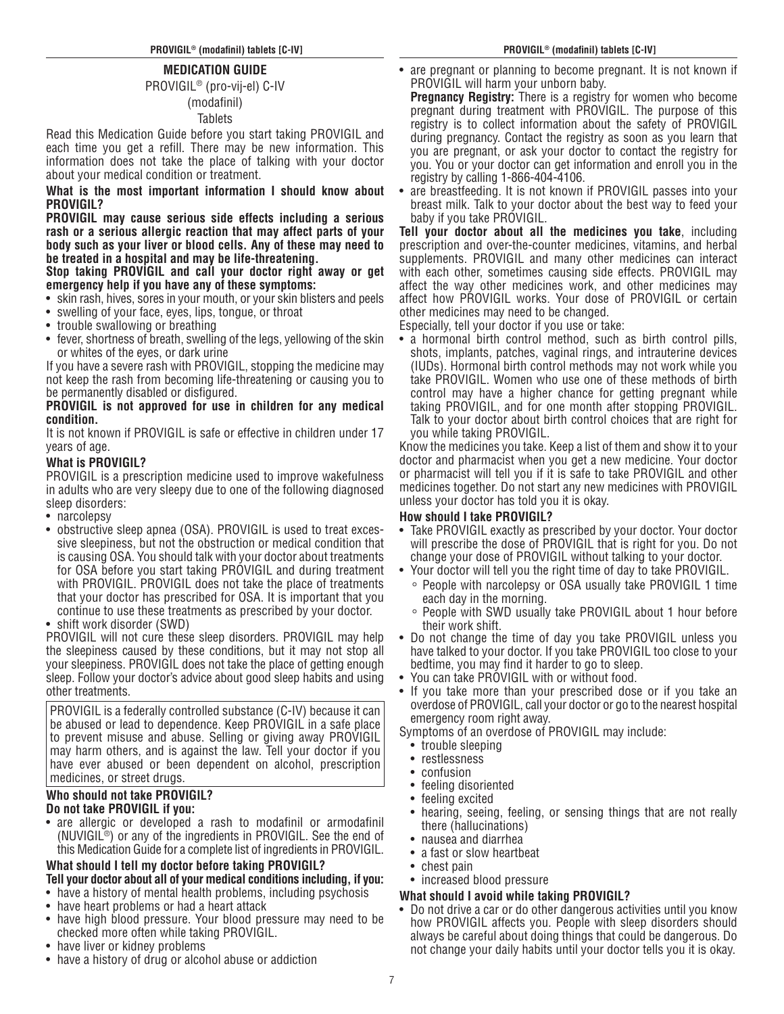# **MEDICATION GUIDE**

PROVIGIL® (pro-vij-el) C-IV

## (modafinil) **Tablets**

Read this Medication Guide before you start taking PROVIGIL and each time you get a refill. There may be new information. This information does not take the place of talking with your doctor about your medical condition or treatment.

**What is the most important information I should know about PROVIGIL?**

**PROVIGIL may cause serious side effects including a serious rash or a serious allergic reaction that may affect parts of your body such as your liver or blood cells. Any of these may need to be treated in a hospital and may be life-threatening.**

**Stop taking PROVIGIL and call your doctor right away or get emergency help if you have any of these symptoms:** 

- skin rash, hives, sores in your mouth, or your skin blisters and peels
- swelling of your face, eyes, lips, tongue, or throat
- trouble swallowing or breathing
- fever, shortness of breath, swelling of the legs, yellowing of the skin or whites of the eyes, or dark urine

If you have a severe rash with PROVIGIL, stopping the medicine may not keep the rash from becoming life-threatening or causing you to be permanently disabled or disfigured.

# **PROVIGIL is not approved for use in children for any medical condition.**

It is not known if PROVIGIL is safe or effective in children under 17 years of age.

# **What is PROVIGIL?**

PROVIGIL is a prescription medicine used to improve wakefulness in adults who are very sleepy due to one of the following diagnosed sleep disorders:

- narcolepsy
- obstructive sleep apnea (OSA). PROVIGIL is used to treat excessive sleepiness, but not the obstruction or medical condition that is causing OSA. You should talk with your doctor about treatments for OSA before you start taking PROVIGIL and during treatment with PROVIGIL. PROVIGIL does not take the place of treatments that your doctor has prescribed for OSA. It is important that you continue to use these treatments as prescribed by your doctor.

• shift work disorder (SWD)

PROVIGIL will not cure these sleep disorders. PROVIGIL may help the sleepiness caused by these conditions, but it may not stop all your sleepiness. PROVIGIL does not take the place of getting enough sleep. Follow your doctor's advice about good sleep habits and using other treatments.

PROVIGIL is a federally controlled substance (C-IV) because it can be abused or lead to dependence. Keep PROVIGIL in a safe place to prevent misuse and abuse. Selling or giving away PROVIGIL may harm others, and is against the law. Tell your doctor if you have ever abused or been dependent on alcohol, prescription medicines, or street drugs.

# **Who should not take PROVIGIL?**

# **Do not take PROVIGIL if you:**

• are allergic or developed a rash to modafinil or armodafinil (NUVIGIL®) or any of the ingredients in PROVIGIL. See the end of this Medication Guide for a complete list of ingredients in PROVIGIL.

# **What should I tell my doctor before taking PROVIGIL?**

# **Tell your doctor about all of your medical conditions including, if you:**

- have a history of mental health problems, including psychosis
- have heart problems or had a heart attack
- have high blood pressure. Your blood pressure may need to be checked more often while taking PROVIGIL.
- have liver or kidney problems
- have a history of drug or alcohol abuse or addiction

are pregnant or planning to become pregnant. It is not known if PROVIGIL will harm your unborn baby.

**Pregnancy Registry:** There is a registry for women who become pregnant during treatment with PROVIGIL. The purpose of this registry is to collect information about the safety of PROVIGIL during pregnancy. Contact the registry as soon as you learn that you are pregnant, or ask your doctor to contact the registry for you. You or your doctor can get information and enroll you in the registry by calling 1-866-404-4106.

• are breastfeeding. It is not known if PROVIGIL passes into your breast milk. Talk to your doctor about the best way to feed your baby if you take PROVIGIL.

**Tell your doctor about all the medicines you take**, including prescription and over-the-counter medicines, vitamins, and herbal supplements. PROVIGIL and many other medicines can interact with each other, sometimes causing side effects. PROVIGIL may affect the way other medicines work, and other medicines may affect how PROVIGIL works. Your dose of PROVIGIL or certain other medicines may need to be changed.

Especially, tell your doctor if you use or take:

• a hormonal birth control method, such as birth control pills, shots, implants, patches, vaginal rings, and intrauterine devices (IUDs). Hormonal birth control methods may not work while you take PROVIGIL. Women who use one of these methods of birth control may have a higher chance for getting pregnant while taking PROVIGIL, and for one month after stopping PROVIGIL. Talk to your doctor about birth control choices that are right for you while taking PROVIGIL.

Know the medicines you take. Keep a list of them and show it to your doctor and pharmacist when you get a new medicine. Your doctor or pharmacist will tell you if it is safe to take PROVIGIL and other medicines together. Do not start any new medicines with PROVIGIL unless your doctor has told you it is okay.

# **How should I take PROVIGIL?**

- Take PROVIGIL exactly as prescribed by your doctor. Your doctor will prescribe the dose of PROVIGIL that is right for you. Do not change your dose of PROVIGIL without talking to your doctor.
- Your doctor will tell you the right time of day to take PROVIGIL.
	- ◦ People with narcolepsy or OSA usually take PROVIGIL 1 time each day in the morning.
	- People with SWD usually take PROVIGIL about 1 hour before their work shift.
- Do not change the time of day you take PROVIGIL unless you have talked to your doctor. If you take PROVIGIL too close to your bedtime, you may find it harder to go to sleep.
- You can take PROVIGIL with or without food.
- If you take more than your prescribed dose or if you take an overdose of PROVIGIL, call your doctor or go to the nearest hospital emergency room right away.

Symptoms of an overdose of PROVIGIL may include:

- trouble sleeping
- restlessness
- confusion
- feeling disoriented
- feeling excited
- hearing, seeing, feeling, or sensing things that are not really there (hallucinations)
- nausea and diarrhea
- a fast or slow heartbeat
- chest pain
- increased blood pressure

# **What should I avoid while taking PROVIGIL?**

• Do not drive a car or do other dangerous activities until you know how PROVIGIL affects you. People with sleep disorders should always be careful about doing things that could be dangerous. Do not change your daily habits until your doctor tells you it is okay.